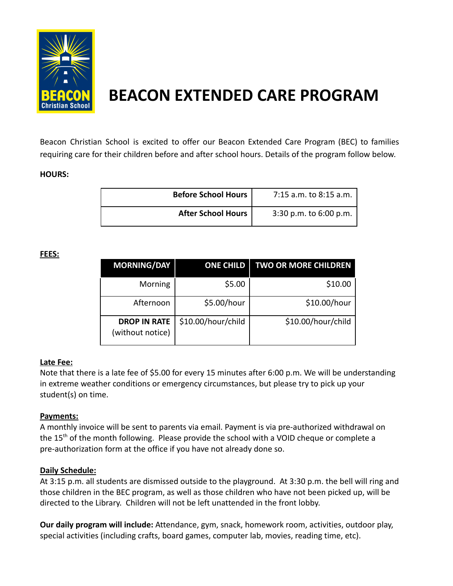

# **BEACON EXTENDED CARE PROGRAM**

Beacon Christian School is excited to offer our Beacon Extended Care Program (BEC) to families requiring care for their children before and after school hours. Details of the program follow below.

#### **HOURS:**

| Before School Hours <sup>1</sup> | 7:15 a.m. to 8:15 a.m. |
|----------------------------------|------------------------|
| <b>After School Hours</b>        | 3:30 p.m. to 6:00 p.m. |

#### **FEES:**

| <b>MORNING/DAY</b>                      | <b>ONE CHILD</b>   | <b>TWO OR MORE CHILDREN</b> |
|-----------------------------------------|--------------------|-----------------------------|
| Morning                                 | \$5.00             | \$10.00                     |
| Afternoon                               | \$5.00/hour        | \$10.00/hour                |
| <b>DROP IN RATE</b><br>(without notice) | \$10.00/hour/child | \$10.00/hour/child          |

## **Late Fee:**

Note that there is a late fee of \$5.00 for every 15 minutes after 6:00 p.m. We will be understanding in extreme weather conditions or emergency circumstances, but please try to pick up your student(s) on time.

## **Payments:**

A monthly invoice will be sent to parents via email. Payment is via pre-authorized withdrawal on the 15<sup>th</sup> of the month following. Please provide the school with a VOID cheque or complete a pre-authorization form at the office if you have not already done so.

#### **Daily Schedule:**

At 3:15 p.m. all students are dismissed outside to the playground. At 3:30 p.m. the bell will ring and those children in the BEC program, as well as those children who have not been picked up, will be directed to the Library. Children will not be left unattended in the front lobby.

**Our daily program will include:** Attendance, gym, snack, homework room, activities, outdoor play, special activities (including crafts, board games, computer lab, movies, reading time, etc).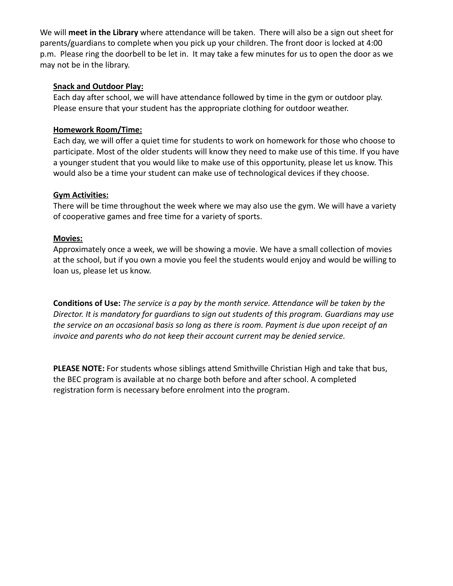We will **meet in the Library** where attendance will be taken. There will also be a sign out sheet for parents/guardians to complete when you pick up your children. The front door is locked at 4:00 p.m. Please ring the doorbell to be let in. It may take a few minutes for us to open the door as we may not be in the library.

#### **Snack and Outdoor Play:**

Each day after school, we will have attendance followed by time in the gym or outdoor play. Please ensure that your student has the appropriate clothing for outdoor weather.

#### **Homework Room/Time:**

Each day, we will offer a quiet time for students to work on homework for those who choose to participate. Most of the older students will know they need to make use of this time. If you have a younger student that you would like to make use of this opportunity, please let us know. This would also be a time your student can make use of technological devices if they choose.

#### **Gym Activities:**

There will be time throughout the week where we may also use the gym. We will have a variety of cooperative games and free time for a variety of sports.

#### **Movies:**

Approximately once a week, we will be showing a movie. We have a small collection of movies at the school, but if you own a movie you feel the students would enjoy and would be willing to loan us, please let us know.

**Conditions of Use:** *The service is a pay by the month service. Attendance will be taken by the Director. It is mandatory for guardians to sign out students of this program. Guardians may use the service on an occasional basis so long as there is room. Payment is due upon receipt of an invoice and parents who do not keep their account current may be denied service.*

**PLEASE NOTE:** For students whose siblings attend Smithville Christian High and take that bus, the BEC program is available at no charge both before and after school. A completed registration form is necessary before enrolment into the program.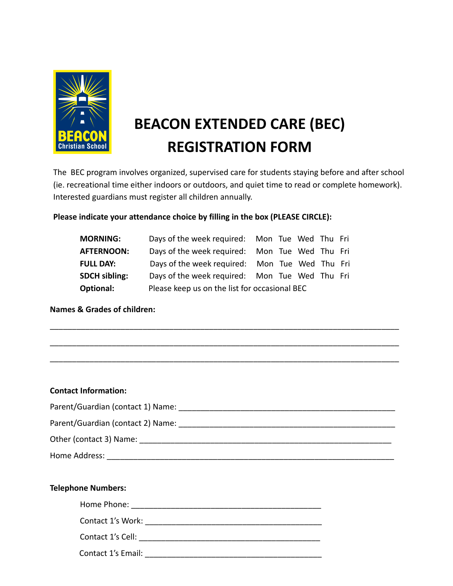

# **BEACON EXTENDED CARE (BEC) REGISTRATION FORM**

The BEC program involves organized, supervised care for students staying before and after school (ie. recreational time either indoors or outdoors, and quiet time to read or complete homework). Interested guardians must register all children annually.

# **Please indicate your attendance choice by filling in the box (PLEASE CIRCLE):**

| <b>MORNING:</b>      | Days of the week required: Mon Tue Wed Thu Fri |  |  |  |  |
|----------------------|------------------------------------------------|--|--|--|--|
| <b>AFTERNOON:</b>    | Days of the week required: Mon Tue Wed Thu Fri |  |  |  |  |
| <b>FULL DAY:</b>     | Days of the week required: Mon Tue Wed Thu Fri |  |  |  |  |
| <b>SDCH sibling:</b> | Days of the week required: Mon Tue Wed Thu Fri |  |  |  |  |
| <b>Optional:</b>     | Please keep us on the list for occasional BEC  |  |  |  |  |

\_\_\_\_\_\_\_\_\_\_\_\_\_\_\_\_\_\_\_\_\_\_\_\_\_\_\_\_\_\_\_\_\_\_\_\_\_\_\_\_\_\_\_\_\_\_\_\_\_\_\_\_\_\_\_\_\_\_\_\_\_\_\_\_\_\_\_\_\_\_\_\_\_\_\_\_\_\_\_

\_\_\_\_\_\_\_\_\_\_\_\_\_\_\_\_\_\_\_\_\_\_\_\_\_\_\_\_\_\_\_\_\_\_\_\_\_\_\_\_\_\_\_\_\_\_\_\_\_\_\_\_\_\_\_\_\_\_\_\_\_\_\_\_\_\_\_\_\_\_\_\_\_\_\_\_\_\_\_

**Names & Grades of children:**

| <b>Contact Information:</b> |
|-----------------------------|
|                             |
|                             |
|                             |
|                             |
|                             |
| <b>Telephone Numbers:</b>   |
|                             |
|                             |

Contact 1's Cell: \_\_\_\_\_\_\_\_\_\_\_\_\_\_\_\_\_\_\_\_\_\_\_\_\_\_\_\_\_\_\_\_\_\_\_\_\_\_\_\_\_

Contact 1's Email: **Example 2018**